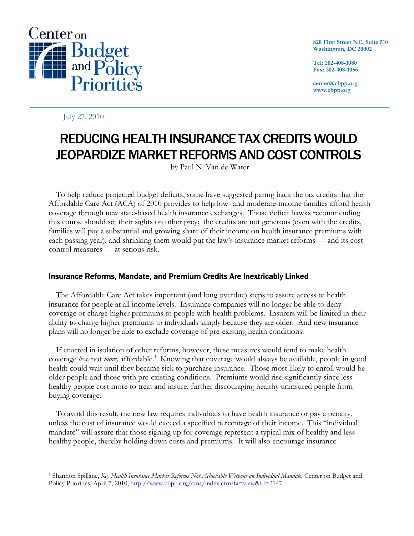

**820 First Street NE, Suite 510 Washington, DC 20002** 

**Tel: 202-408-1080 Fax: 202-408-1056** 

**center@cbpp.org www.cbpp.org** 

### July 27, 2010

 $\overline{a}$ 

# REDUCING HEALTH INSURANCE TAX CREDITS WOULD JEOPARDIZE MARKET REFORMS AND COST CONTROLS

by Paul N. Van de Water

 To help reduce projected budget deficits, some have suggested paring back the tax credits that the Affordable Care Act (ACA) of 2010 provides to help low- and moderate-income families afford health coverage through new state-based health insurance exchanges. Those deficit hawks recommending this course should set their sights on other prey: the credits are not generous (even with the credits, families will pay a substantial and growing share of their income on health insurance premiums with each passing year), and shrinking them would put the law's insurance market reforms — and its costcontrol measures — at serious risk.

## Insurance Reforms, Mandate, and Premium Credits Are Inextricably Linked

 The Affordable Care Act takes important (and long overdue) steps to assure access to health insurance for people at all income levels. Insurance companies will no longer be able to deny coverage or charge higher premiums to people with health problems. Insurers will be limited in their ability to charge higher premiums to individuals simply because they are older. And new insurance plans will no longer be able to exclude coverage of pre-existing health conditions.

If enacted in isolation of other reforms, however, these measures would tend to make health coverage less, not more, affordable.<sup>1</sup> Knowing that coverage would always be available, people in good health could wait until they became sick to purchase insurance. Those most likely to enroll would be older people and those with pre-existing conditions. Premiums would rise significantly since less healthy people cost more to treat and insure, further discouraging healthy uninsured people from buying coverage.

 To avoid this result, the new law requires individuals to have health insurance or pay a penalty, unless the cost of insurance would exceed a specified percentage of their income. This "individual mandate" will assure that those signing up for coverage represent a typical mix of healthy and less healthy people, thereby holding down costs and premiums. It will also encourage insurance

<sup>1</sup> Shannon Spillane, *Key Health Insurance Market Reforms Not Achievable Without an Individual Mandate*, Center on Budget and Policy Priorities, April 7, 2010, http://www.cbpp.org/cms/index.cfm?fa=view&id=3147.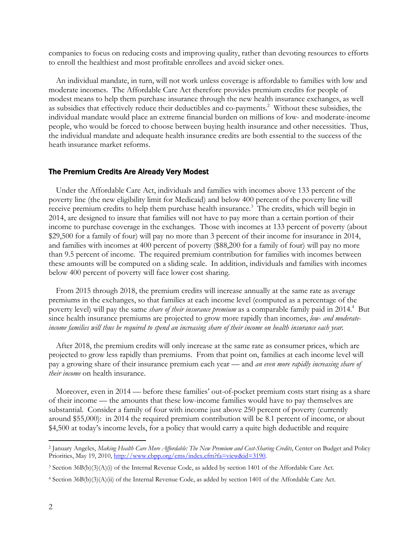companies to focus on reducing costs and improving quality, rather than devoting resources to efforts to enroll the healthiest and most profitable enrollees and avoid sicker ones.

 An individual mandate, in turn, will not work unless coverage is affordable to families with low and moderate incomes. The Affordable Care Act therefore provides premium credits for people of modest means to help them purchase insurance through the new health insurance exchanges, as well as subsidies that effectively reduce their deductibles and co-payments.<sup>2</sup> Without these subsidies, the individual mandate would place an extreme financial burden on millions of low- and moderate-income people, who would be forced to choose between buying health insurance and other necessities. Thus, the individual mandate and adequate health insurance credits are both essential to the success of the heath insurance market reforms.

#### The Premium Credits Are Already Very Modest

 Under the Affordable Care Act, individuals and families with incomes above 133 percent of the poverty line (the new eligibility limit for Medicaid) and below 400 percent of the poverty line will receive premium credits to help them purchase health insurance.<sup>3</sup> The credits, which will begin in 2014, are designed to insure that families will not have to pay more than a certain portion of their income to purchase coverage in the exchanges. Those with incomes at 133 percent of poverty (about \$29,500 for a family of four) will pay no more than 3 percent of their income for insurance in 2014, and families with incomes at 400 percent of poverty (\$88,200 for a family of four) will pay no more than 9.5 percent of income. The required premium contribution for families with incomes between these amounts will be computed on a sliding scale. In addition, individuals and families with incomes below 400 percent of poverty will face lower cost sharing.

 From 2015 through 2018, the premium credits will increase annually at the same rate as average premiums in the exchanges, so that families at each income level (computed as a percentage of the poverty level) will pay the same *share of their insurance premium* as a comparable family paid in 2014.<sup>4</sup> But since health insurance premiums are projected to grow more rapidly than incomes, *low- and moderateincome families will thus be required to spend an increasing share of their income on health insurance each year.* 

 After 2018, the premium credits will only increase at the same rate as consumer prices, which are projected to grow less rapidly than premiums. From that point on, families at each income level will pay a growing share of their insurance premium each year — and *an even more rapidly increasing share of their income* on health insurance.

 Moreover, even in 2014 — before these families' out-of-pocket premium costs start rising as a share of their income — the amounts that these low-income families would have to pay themselves are substantial. Consider a family of four with income just above 250 percent of poverty (currently around \$55,000): in 2014 the required premium contribution will be 8.1 percent of income, or about \$4,500 at today's income levels, for a policy that would carry a quite high deductible and require

-

<sup>2</sup> January Angeles, *Making Health Care More Affordable: The New Premium and Cost-Sharing Credits*, Center on Budget and Policy Priorities, May 19, 2010, http://www.cbpp.org/cms/index.cfm?fa=view&id=3190.

<sup>3</sup> Section 36B(b)(3)(A)(i) of the Internal Revenue Code, as added by section 1401 of the Affordable Care Act.

<sup>4</sup> Section 36B(b)(3)(A)(ii) of the Internal Revenue Code, as added by section 1401 of the Affordable Care Act.